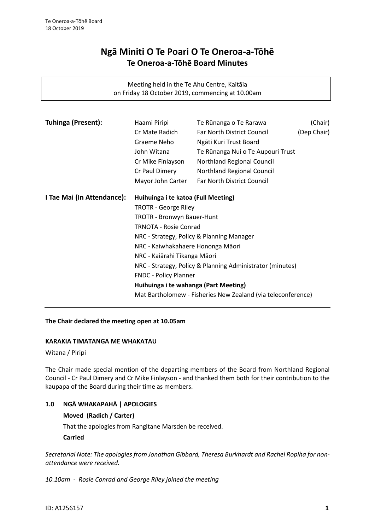# **Ngā Miniti O Te Poari O Te Oneroa-a-Tōhē Te Oneroa-a-Tōhē Board Minutes**

Meeting held in the Te Ahu Centre, Kaitāia on Friday 18 October 2019, commencing at 10.00am

| <b>Tuhinga (Present):</b>  | Haami Piripi                                                                                                                                                                                                                                                                                                                                                                                                                                                    | Te Rūnanga o Te Rarawa            | (Chair)     |
|----------------------------|-----------------------------------------------------------------------------------------------------------------------------------------------------------------------------------------------------------------------------------------------------------------------------------------------------------------------------------------------------------------------------------------------------------------------------------------------------------------|-----------------------------------|-------------|
|                            | Cr Mate Radich                                                                                                                                                                                                                                                                                                                                                                                                                                                  | <b>Far North District Council</b> | (Dep Chair) |
|                            | Graeme Neho                                                                                                                                                                                                                                                                                                                                                                                                                                                     | Ngāti Kuri Trust Board            |             |
|                            | John Witana                                                                                                                                                                                                                                                                                                                                                                                                                                                     | Te Rūnanga Nui o Te Aupouri Trust |             |
|                            | Cr Mike Finlayson                                                                                                                                                                                                                                                                                                                                                                                                                                               | Northland Regional Council        |             |
|                            | Cr Paul Dimery                                                                                                                                                                                                                                                                                                                                                                                                                                                  | Northland Regional Council        |             |
|                            | Mayor John Carter                                                                                                                                                                                                                                                                                                                                                                                                                                               | <b>Far North District Council</b> |             |
| I Tae Mai (In Attendance): | Huihuinga i te katoa (Full Meeting)<br><b>TROTR - George Riley</b><br><b>TROTR - Bronwyn Bauer-Hunt</b><br><b>TRNOTA - Rosie Conrad</b><br>NRC - Strategy, Policy & Planning Manager<br>NRC - Kaiwhakahaere Hononga Māori<br>NRC - Kaiārahi Tikanga Māori<br>NRC - Strategy, Policy & Planning Administrator (minutes)<br><b>FNDC - Policy Planner</b><br>Huihuinga i te wahanga (Part Meeting)<br>Mat Bartholomew - Fisheries New Zealand (via teleconference) |                                   |             |
|                            |                                                                                                                                                                                                                                                                                                                                                                                                                                                                 |                                   |             |
|                            |                                                                                                                                                                                                                                                                                                                                                                                                                                                                 |                                   |             |
|                            |                                                                                                                                                                                                                                                                                                                                                                                                                                                                 |                                   |             |
|                            |                                                                                                                                                                                                                                                                                                                                                                                                                                                                 |                                   |             |
|                            |                                                                                                                                                                                                                                                                                                                                                                                                                                                                 |                                   |             |
|                            |                                                                                                                                                                                                                                                                                                                                                                                                                                                                 |                                   |             |
|                            |                                                                                                                                                                                                                                                                                                                                                                                                                                                                 |                                   |             |
|                            |                                                                                                                                                                                                                                                                                                                                                                                                                                                                 |                                   |             |
|                            |                                                                                                                                                                                                                                                                                                                                                                                                                                                                 |                                   |             |
|                            |                                                                                                                                                                                                                                                                                                                                                                                                                                                                 |                                   |             |
|                            |                                                                                                                                                                                                                                                                                                                                                                                                                                                                 |                                   |             |

#### **The Chair declared the meeting open at 10.05am**

#### **KARAKIA TIMATANGA ME WHAKATAU**

Witana / Piripi

The Chair made special mention of the departing members of the Board from Northland Regional Council - Cr Paul Dimery and Cr Mike Finlayson - and thanked them both for their contribution to the kaupapa of the Board during their time as members.

## **1.0 NGĀ WHAKAPAHĀ | APOLOGIES**

#### **Moved (Radich / Carter)**

That the apologies from Rangitane Marsden be received.

#### **Carried**

*Secretarial Note: The apologies from Jonathan Gibbard, Theresa Burkhardt and Rachel Ropiha for nonattendance were received.*

*10.10am - Rosie Conrad and George Riley joined the meeting*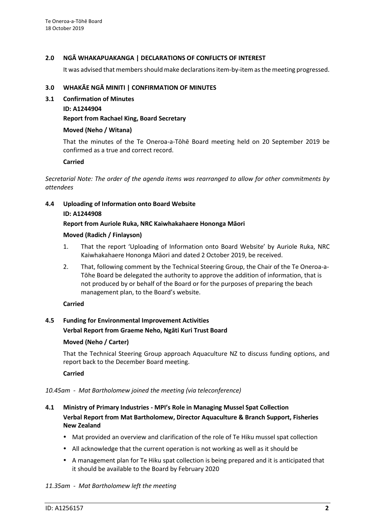### **2.0 NGĀ WHAKAPUAKANGA | DECLARATIONS OF CONFLICTS OF INTEREST**

It was advised that members should make declarations item-by-item as the meeting progressed.

#### **3.0 WHAKĀE NGĀ MINITI | CONFIRMATION OF MINUTES**

- **3.1 Confirmation of Minutes**
	- **ID: A1244904**

#### **Report from Rachael King, Board Secretary**

#### **Moved (Neho / Witana)**

That the minutes of the Te Oneroa-a-Tōhē Board meeting held on 20 September 2019 be confirmed as a true and correct record.

#### **Carried**

*Secretarial Note: The order of the agenda items was rearranged to allow for other commitments by attendees*

#### **4.4 Uploading of Information onto Board Website**

#### **ID: A1244908**

#### **Report from Auriole Ruka, NRC Kaiwhakahaere Hononga Māori**

#### **Moved (Radich / Finlayson)**

- 1. That the report 'Uploading of Information onto Board Website' by Auriole Ruka, NRC Kaiwhakahaere Hononga Māori and dated 2 October 2019, be received.
- 2. That, following comment by the Technical Steering Group, the Chair of the Te Oneroa-a-Tōhe Board be delegated the authority to approve the addition of information, that is not produced by or behalf of the Board or for the purposes of preparing the beach management plan, to the Board's website.

#### **Carried**

## **4.5 Funding for Environmental Improvement Activities**

#### **Verbal Report from Graeme Neho, Ngāti Kuri Trust Board**

## **Moved (Neho / Carter)**

That the Technical Steering Group approach Aquaculture NZ to discuss funding options, and report back to the December Board meeting.

**Carried**

#### *10.45am - Mat Bartholomew joined the meeting (via teleconference)*

## **4.1 Ministry of Primary Industries - MPI's Role in Managing Mussel Spat Collection Verbal Report from Mat Bartholomew, Director Aquaculture & Branch Support, Fisheries New Zealand**

- Mat provided an overview and clarification of the role of Te Hiku mussel spat collection
- All acknowledge that the current operation is not working as well as it should be
- A management plan for Te Hiku spat collection is being prepared and it is anticipated that it should be available to the Board by February 2020

#### *11.35am - Mat Bartholomew left the meeting*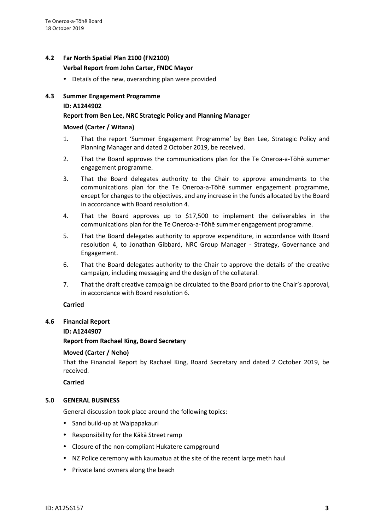## **4.2 Far North Spatial Plan 2100 (FN2100) Verbal Report from John Carter, FNDC Mayor**

• Details of the new, overarching plan were provided

## **4.3 Summer Engagement Programme ID: A1244902**

## **Report from Ben Lee, NRC Strategic Policy and Planning Manager**

### **Moved (Carter / Witana)**

- 1. That the report 'Summer Engagement Programme' by Ben Lee, Strategic Policy and Planning Manager and dated 2 October 2019, be received.
- 2. That the Board approves the communications plan for the Te Oneroa-a-Tōhē summer engagement programme.
- 3. That the Board delegates authority to the Chair to approve amendments to the communications plan for the Te Oneroa-a-Tōhē summer engagement programme, except for changes to the objectives, and any increase in the funds allocated by the Board in accordance with Board resolution 4.
- 4. That the Board approves up to \$17,500 to implement the deliverables in the communications plan for the Te Oneroa-a-Tōhē summer engagement programme.
- 5. That the Board delegates authority to approve expenditure, in accordance with Board resolution 4, to Jonathan Gibbard, NRC Group Manager - Strategy, Governance and Engagement.
- 6. That the Board delegates authority to the Chair to approve the details of the creative campaign, including messaging and the design of the collateral.
- 7. That the draft creative campaign be circulated to the Board prior to the Chair's approval, in accordance with Board resolution 6.

## **Carried**

## **4.6 Financial Report**

## **ID: A1244907**

**Report from Rachael King, Board Secretary**

## **Moved (Carter / Neho)**

That the Financial Report by Rachael King, Board Secretary and dated 2 October 2019, be received.

**Carried**

## **5.0 GENERAL BUSINESS**

General discussion took place around the following topics:

- Sand build-up at Waipapakauri
- Responsibility for the Kākā Street ramp
- Closure of the non-compliant Hukatere campground
- NZ Police ceremony with kaumatua at the site of the recent large meth haul
- Private land owners along the beach